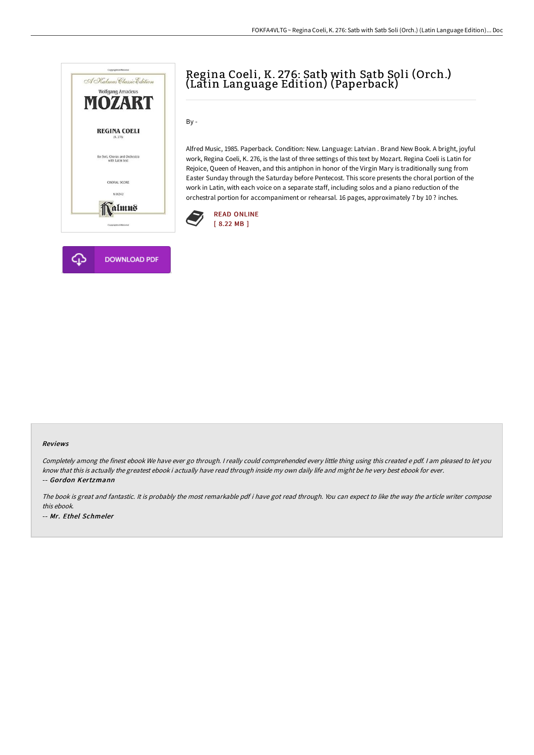

# **DOWNLOAD PDF**

# Regina Coeli, K. 276: Satb with Satb Soli (Orch.) (Latin Language Edition) (Paperback)

By -

Alfred Music, 1985. Paperback. Condition: New. Language: Latvian . Brand New Book. A bright, joyful work, Regina Coeli, K. 276, is the last of three settings of this text by Mozart. Regina Coeli is Latin for Rejoice, Queen of Heaven, and this antiphon in honor of the Virgin Mary is traditionally sung from Easter Sunday through the Saturday before Pentecost. This score presents the choral portion of the work in Latin, with each voice on a separate staff, including solos and a piano reduction of the orchestral portion for accompaniment or rehearsal. 16 pages, approximately 7 by 10 ? inches.



#### Reviews

Completely among the finest ebook We have ever go through. <sup>I</sup> really could comprehended every little thing using this created <sup>e</sup> pdf. <sup>I</sup> am pleased to let you know that this is actually the greatest ebook i actually have read through inside my own daily life and might be he very best ebook for ever. -- Gordon Kertzmann

The book is great and fantastic. It is probably the most remarkable pdf i have got read through. You can expect to like the way the article writer compose this ebook. -- Mr. Ethel Schmeler